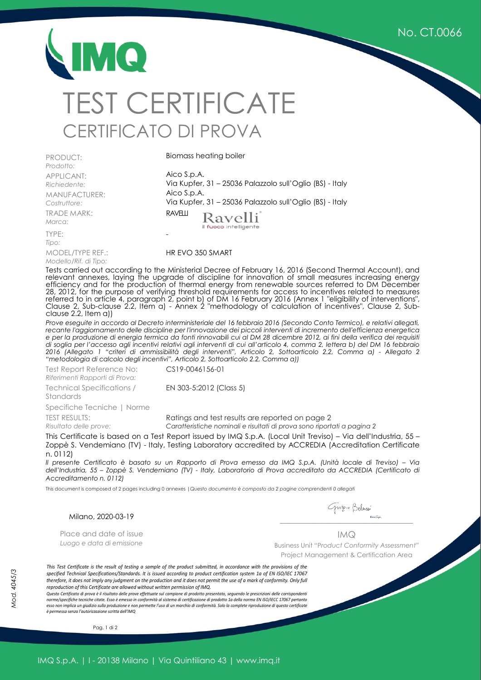No. CT.0066

## MQ TEST CERTIFICATE CERTIFICATO DI PROVA

PRODUCT: *Prodotto:* APPLICANT: *Richiedente:* MANUFACTURER: *Costruttore:* TRADE MARK: *Marca:*

TYPE: *Tipo:* MODEL/TYPE REF.: *Modello/Rif. di Tipo:*

Biomass heating boiler

Aico S.p.A. Via Kupfer, 31 – 25036 Palazzolo sull'Oglio (BS) - Italy Aico S.p.A. Via Kupfer, 31 – 25036 Palazzolo sull'Oglio (BS) - Italy **RAVELU** Ravelli il fuoco intelligente -

HR EVO 350 SMART

Tests carried out according to the Ministerial Decree of February 16, 2016 (Second Thermal Account), and relevant annexes, laying the upgrade of discipline for innovation of small measures increasing energy efficiency and for the production of thermal energy from renewable sources referred to DM December 28, 2012, for the purpose of verifying threshold requirements for access to incentives related to measures referred to in article 4, paragraph 2, point b) of DM 16 February 2016 (Annex 1 "eligibility of interventions", Clause 2, Sub-clause 2.2, Item a) - Annex 2 "methodology of calculation of incentives", Clause 2, Subclause 2.2, Item a))

*Prove eseguite in accordo al Decreto interministeriale del 16 febbraio 2016 (Secondo Conto Termico), e relativi allegati, recante l'aggiornamento delle discipline per l'innovazione dei piccoli interventi di incremento dell'efficienza energetica e per la produzione di energia termica da fonti rinnovabili cui al DM 28 dicembre 2012, ai fini della verifica dei requisiti di soglia per l'accesso agli incentivi relativi agli interventi di cui all'articolo 4, comma 2, lettera b) del DM 16 febbraio 2016 (Allegato 1 "criteri di ammissibilità degli interventi", Articolo 2, Sottoarticolo 2.2, Comma a) - Allegato 2 "metodologia di calcolo degli incentivi", Articolo 2, Sottoarticolo 2.2, Comma a))* 

Test Report Reference No: *Riferimenti Rapporti di Prova:*

CS19-0046156-01

Technical Specifications / Standards Specifiche Tecniche | Norme TEST RESULTS:

*Risultato delle prove:*

EN 303-5:2012 (Class 5)

Ratings and test results are reported on page 2

*Caratteristiche nominali e risultati di prova sono riportati a pagina 2*

This Certificate is based on a Test Report issued by IMQ S.p.A. (Local Unit Treviso) – Via dell'Industria, 55 – Zoppè S. Vendemiano (TV) - Italy, Testing Laboratory accredited by ACCREDIA (Accreditation Certificate n. 0112)

*Il presente Certificato è basato su un Rapporto di Prova emesso da IMQ S.p.A. (Unità locale di Treviso) – Via dell'Industria, 55 – Zoppè S. Vendemiano (TV) - Italy, Laboratorio di Prova accreditato da ACCREDIA (Certificato di Accreditamento n. 0112)* 

This document is composed of 2 pages including 0 annexes |*Questo documento è composto da 2 pagine comprendenti 0 allegati*

Milano, 2020-03-19

 *\_\_\_\_\_\_\_\_\_\_\_\_\_\_\_\_\_\_\_\_\_\_\_\_\_\_\_\_\_\_\_\_\_\_\_\_\_\_\_\_\_\_\_\_\_\_\_*

Place and date of issue *Luogo e data di emissione*  IMQ

Business Unit "P*roduct Conformity Assessment"*  Project Management & Certification Area

*Mod. 4045/3*

This Test Certificate is the result of testing a sample of the product submitted, in accordance with the provisions of the *specified Technical Specifications/Standards. It is issued according to product certification system 1a of EN ISO/IEC 17067 therefore, it does not imply any judgment on the production and it does not permit the use of a mark of conformity. Only full reproduction of this Certificate are allowed without written permission of IMQ.* 

*Questo Certificato di prova è il risultato delle prove effettuate sul campione di prodotto presentato, seguendo le prescrizioni delle corrispondenti norme/specifiche tecniche citate. Esso è emesso in conformità al sistema di certificazione di prodotto 1a della norma EN ISO/IECC 17067 pertanto esso non implica un giudizio sulla produzione e non permette l'uso di un marchio di conformità. Solo la complete riproduzione di questo certificate è permessa senza l'autorizzazione scritta dell'IMQ* 

Pag. 1 di 2